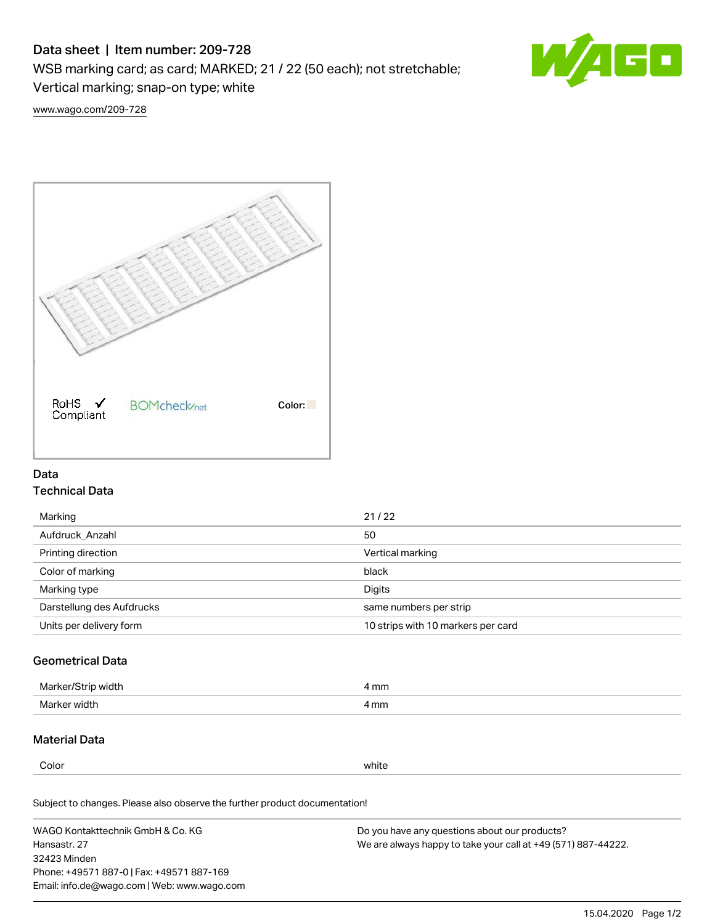# Data sheet | Item number: 209-728

WSB marking card; as card; MARKED; 21 / 22 (50 each); not stretchable;

Vertical marking; snap-on type; white

60 W

[www.wago.com/209-728](http://www.wago.com/209-728)



# Data Technical Data

| Marking                   | 21/22                              |
|---------------------------|------------------------------------|
| Aufdruck Anzahl           | 50                                 |
| Printing direction        | Vertical marking                   |
| Color of marking          | black                              |
| Marking type              | Digits                             |
| Darstellung des Aufdrucks | same numbers per strip             |
| Units per delivery form   | 10 strips with 10 markers per card |

# Geometrical Data

| Marker<br>∘width. | l mm |
|-------------------|------|
| Marker width      | 4 mm |

# Material Data

Color white

Subject to changes. Please also observe the further product documentation!

WAGO Kontakttechnik GmbH & Co. KG Hansastr. 27 32423 Minden Phone: +49571 887-0 | Fax: +49571 887-169 Email: info.de@wago.com | Web: www.wago.com Do you have any questions about our products? We are always happy to take your call at +49 (571) 887-44222.